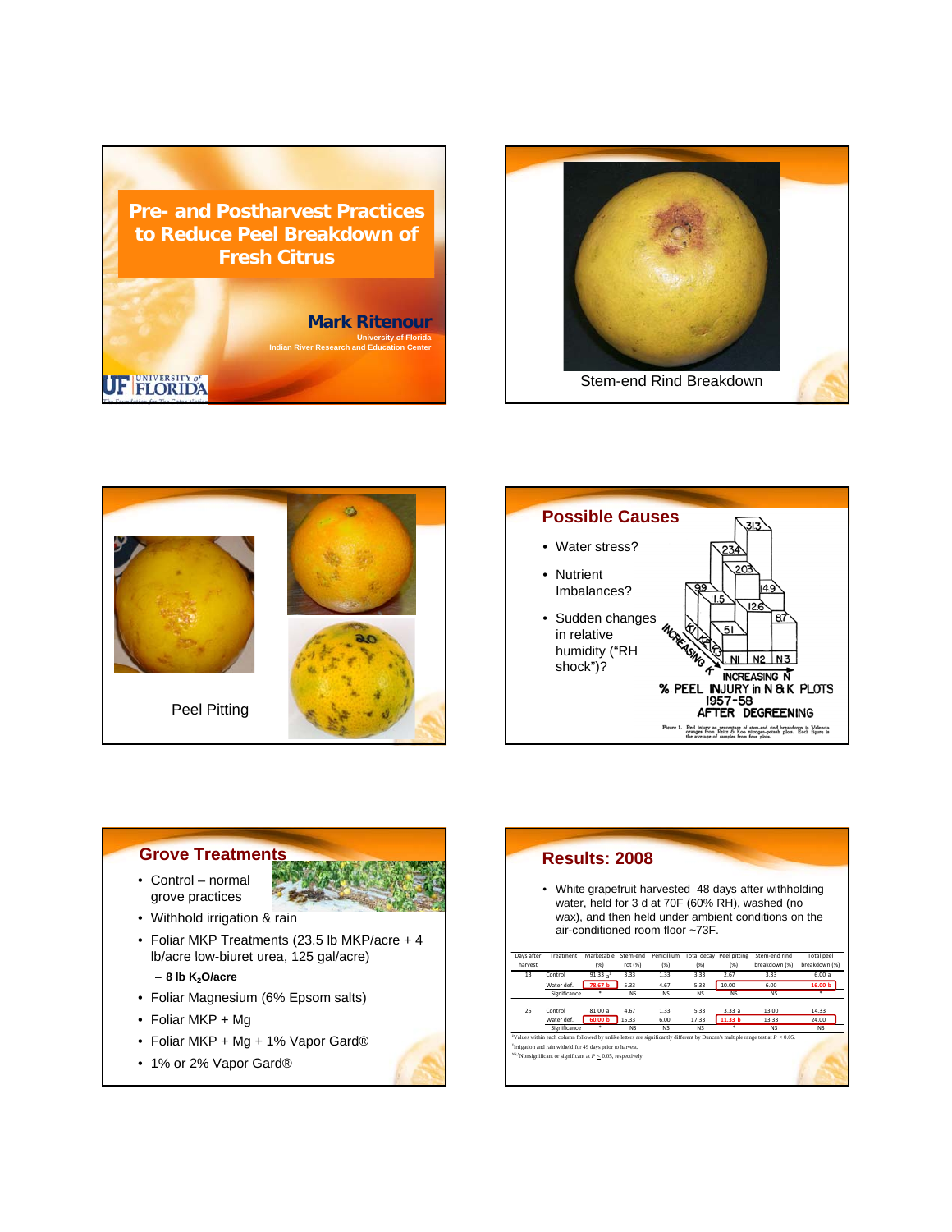









• 1% or 2% Vapor Gard®

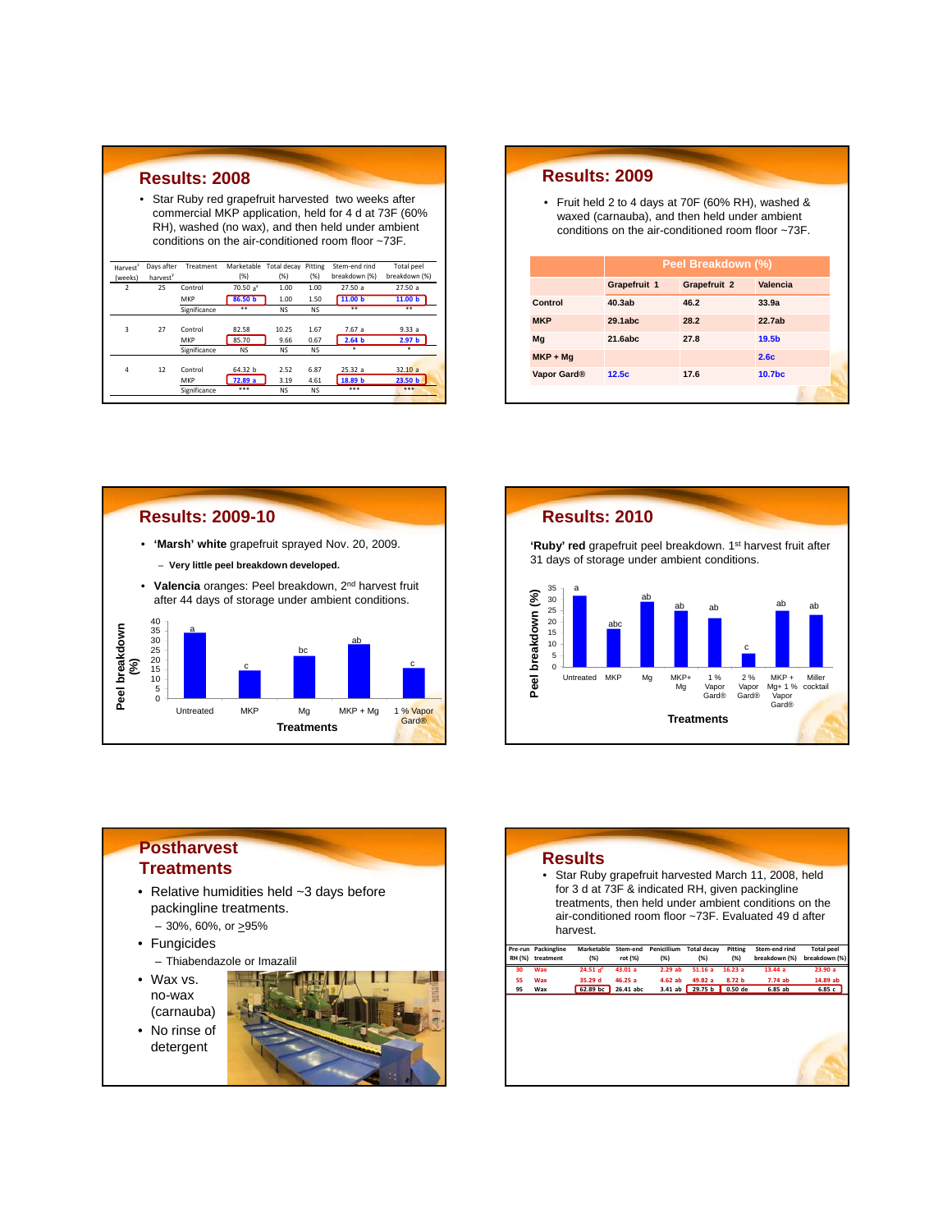| <b>Results: 2008</b>                                                                                                                                                                                                                  |                      |              |                                |           |           |                    |                    |  |  |
|---------------------------------------------------------------------------------------------------------------------------------------------------------------------------------------------------------------------------------------|----------------------|--------------|--------------------------------|-----------|-----------|--------------------|--------------------|--|--|
|                                                                                                                                                                                                                                       |                      |              |                                |           |           |                    |                    |  |  |
| Star Ruby red grapefruit harvested two weeks after<br>٠<br>commercial MKP application, held for 4 d at 73F (60%)<br>RH), washed (no wax), and then held under ambient<br>conditions on the air-conditioned room floor $\approx 73$ F. |                      |              |                                |           |           |                    |                    |  |  |
| Harvest <sup>2</sup>                                                                                                                                                                                                                  | Days after           | Treatment    | Marketable Total decay Pitting |           |           | Stem-end rind      | <b>Total peel</b>  |  |  |
| (weeks)                                                                                                                                                                                                                               | harvest <sup>y</sup> |              | (%)                            | (% )      | (% )      | breakdown (%)      | breakdown (%)      |  |  |
| 7                                                                                                                                                                                                                                     | 75                   | Control      | $70.50a^x$                     | 1.00      | 1.00      | 27.50a             | 27.50a             |  |  |
|                                                                                                                                                                                                                                       |                      | MKP          | 86.50 b                        | 1.00      | 1.50      | 11.00 <sub>b</sub> | 11.00 <sub>b</sub> |  |  |
|                                                                                                                                                                                                                                       |                      | Significance | **                             | <b>NS</b> | <b>NS</b> | **                 | **                 |  |  |
|                                                                                                                                                                                                                                       |                      |              |                                |           |           |                    |                    |  |  |
| 3                                                                                                                                                                                                                                     | 27                   | Control      | 82.58                          | 10.25     | 1.67      | 7.67 a             | 9.33a              |  |  |
|                                                                                                                                                                                                                                       |                      | MKP          | 85.70                          | 9.66      | 0.67      | 2.64 <sub>b</sub>  | 2.97 <sub>b</sub>  |  |  |
|                                                                                                                                                                                                                                       |                      | Significance | <b>NS</b>                      | <b>NS</b> | <b>NS</b> | ٠                  | ٠                  |  |  |
|                                                                                                                                                                                                                                       |                      |              |                                |           |           |                    |                    |  |  |
| 4                                                                                                                                                                                                                                     | 12                   | Control      | 64.32 b                        | 2.52      | 6.87      | 25.32a             | 32.10a             |  |  |
|                                                                                                                                                                                                                                       |                      | MKP          | 72.89 a                        | 3.19      | 4.61      | 18.89 b            | 23.50 <sub>b</sub> |  |  |
|                                                                                                                                                                                                                                       |                      | Significance | ***                            | <b>NS</b> | <b>NS</b> | ***                | ***                |  |  |

## **Results: 2009** • Fruit held 2 to 4 days at 70F (60% RH), washed & waxed (carnauba), and then held under ambient conditions on the air-conditioned room floor ~73F. **Peel Breakdown (%) Grapefruit 1 Grapefruit 2 Valencia Control 40.3ab 46.2 33.9a MKP 29.1abc 28.2 22.7ab Mg 21.6abc 27.8 19.5b**

**MKP + Mg 2.6c Vapor Gard® 12.5c 17.6 10.7bc**





## **Postharvest Treatments** • Relative humidities held ~3 days before packingline treatments.  $-30\%$ , 60%, or  $\geq 95\%$ • Fungicides – Thiabendazole or Imazalil • Wax vs. no-wax (carnauba) • No rinse of detergent

## **Results**

• Star Ruby grapefruit harvested March 11, 2008, held for 3 d at 73F & indicated RH, given packingline treatments, then held under ambient conditions on the air-conditioned room floor ~73F. Evaluated 49 d after harvest.

|    | Pre-run Packingline | Marketable  | Stem-end  | Penicillium | <b>Total decay</b> | Pitting           | Stem-end rind | <b>Total peel</b> |
|----|---------------------|-------------|-----------|-------------|--------------------|-------------------|---------------|-------------------|
|    | RH (%) treatment    | (%)         | rot (%)   | (%)         | (%)                | (%)               | breakdown (%) | breakdown (%)     |
| 30 | Wax                 | 24.51 $d^2$ | 43.01a    | 2.29ab      | 51.16a             | 16.23a            | 13.44a        | 23.90a            |
| 55 | Wax                 | 35.29 d     | 46.25a    | 4.62ab      | 49.82 a            | 8.72 <sub>b</sub> | 7.74ab        | 14.89 ab          |
| 95 | Wax                 | 62.89 bc    | 26.41 abc | 3.41ab      | 29.75 b 0.50 de    |                   | 6.85 ab       | 6.85c             |
|    |                     |             |           |             |                    |                   |               |                   |
|    |                     |             |           |             |                    |                   |               |                   |
|    |                     |             |           |             |                    |                   |               |                   |
|    |                     |             |           |             |                    |                   |               |                   |
|    |                     |             |           |             |                    |                   |               |                   |
|    |                     |             |           |             |                    |                   |               |                   |
|    |                     |             |           |             |                    |                   |               |                   |